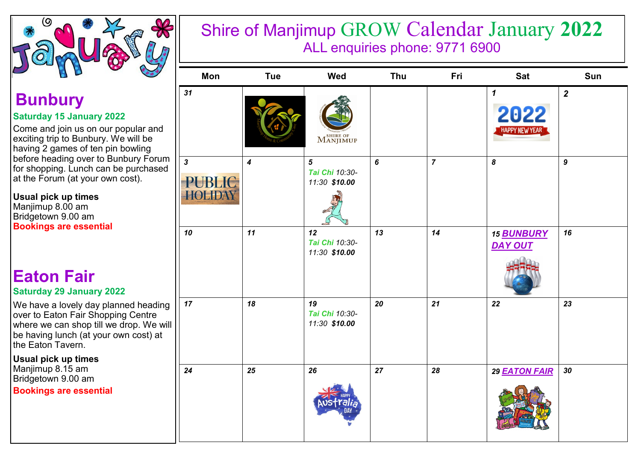

# Shire of Manjimup GROW Calendar January **2022** ALL enquiries phone: 9771 6900

| $+ + +$                               | Mon                                             | <b>Tue</b>       | Wed                                               | Thu       | Fri            | <b>Sat</b>                                                  | Sun                     |
|---------------------------------------|-------------------------------------------------|------------------|---------------------------------------------------|-----------|----------------|-------------------------------------------------------------|-------------------------|
| ar and<br>be<br>ng<br>Forum<br>chased | 31                                              |                  | $M^{s\text{\tiny{HIRE OF}}}_{\rm{ANJIMUP}}$       |           |                | $\boldsymbol{\mathcal{L}}$<br>2022<br><b>HAPPY NEW YEAR</b> | $\overline{\mathbf{2}}$ |
|                                       | $\mathbf{3}$<br><b>PUBLIC</b><br><b>HOLIDAY</b> | $\boldsymbol{4}$ | $\overline{5}$<br>Tai Chi 10:30-<br>11:30 \$10.00 | $\pmb{6}$ | $\overline{7}$ | $\pmb{8}$                                                   | $\boldsymbol{9}$        |
|                                       | 10                                              | 11               | 12<br>Tai Chi 10:30-<br>11:30 \$10.00             | 13        | 14             | <b>15 BUNBURY</b><br><b>DAY OUT</b>                         | 16                      |
| าeading<br>ntre<br>We will<br>າst) at | 17                                              | 18               | 19<br>Tai Chi 10:30-<br>11:30 \$10.00             | 20        | 21             | 22                                                          | 23                      |
|                                       | 24                                              | 25               | 26                                                | 27        | 28             | 29 EATON FAIR                                               | 30                      |

# **Bunbury**

### **Saturday 15 January 2022**

Come and join us on our popular exciting trip to Bunbury. We will  $\vert$  having 2 games of ten pin bowling before heading over to Bunbury for shopping. Lunch can be pure at the Forum (at your own cost).

**Usual pick up times**  Manjimup 8.00 am Bridgetown 9.00 am **Bookings are essential** 

## **Eaton Fair Saturday 29 January 2022**

We have a lovely day planned h over to Eaton Fair Shopping Ce where we can shop till we drop. be having lunch (at your own co the Eaton Tavern.

**Usual pick up times**  Manjimup 8.15 am Bridgetown 9.00 am

**Bookings are essential**